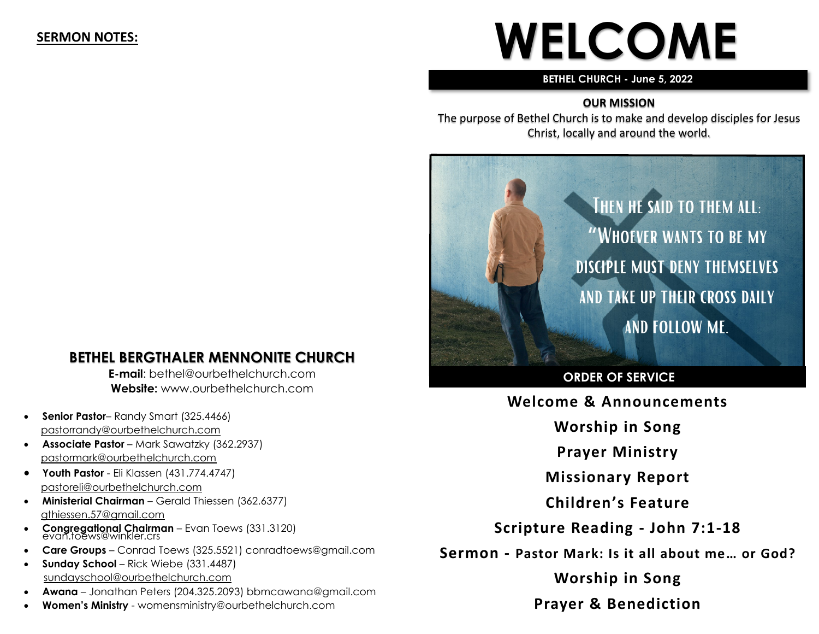#### **SERMON NOTES:**

# **WELCOME**

#### **BETHEL CHURCH - June 5, 2022**

#### **OUR MISSION**

The purpose of Bethel Church is to make and develop disciples for Jesus Christ, locally and around the world.



#### **ORDER OF SERVICE**

**Welcome & Announcements**

**Worship in Song**

**Prayer Ministry**

**Missionary Report**

**Children's Feature**

**Scripture Reading - John 7:1-18**

**Sermon - Pastor Mark: Is it all about me… or God?**

**Worship in Song Prayer & Benediction**

# **BETHEL BERGTHALER MENNONITE CHURCH**

**E-mail**: bethel@ourbethelchurch.com **Website:** www.ourbethelchurch.com

- **Senior Pastor** Randy Smart (325.4466) pastorrandy@ourbethelchurch.com
- **Associate Pastor** Mark Sawatzky (362.2937) [pastormark@ourbethelchurch.com](mailto:pastormark@ourbethelchurch.com)
- **Youth Pastor**  Eli Klassen (431.774.4747) pastoreli@ourbethelchurch.com
- **Ministerial Chairman** Gerald Thiessen (362.6377) gthiessen.57@gmail.com
- **Congregational Chairman** Evan Toews (331.3120) evan.toews@winkler.crs
- **Care Groups** Conrad Toews (325.5521) conradtoews@gmail.com
- **Sunday School** Rick Wiebe (331.4487) sundayschool@ourbethelchurch.com
- **Awana** Jonathan Peters (204.325.2093) bbmcawana@gmail.com
- **Women's Ministry**  womensministry@ourbethelchurch.com